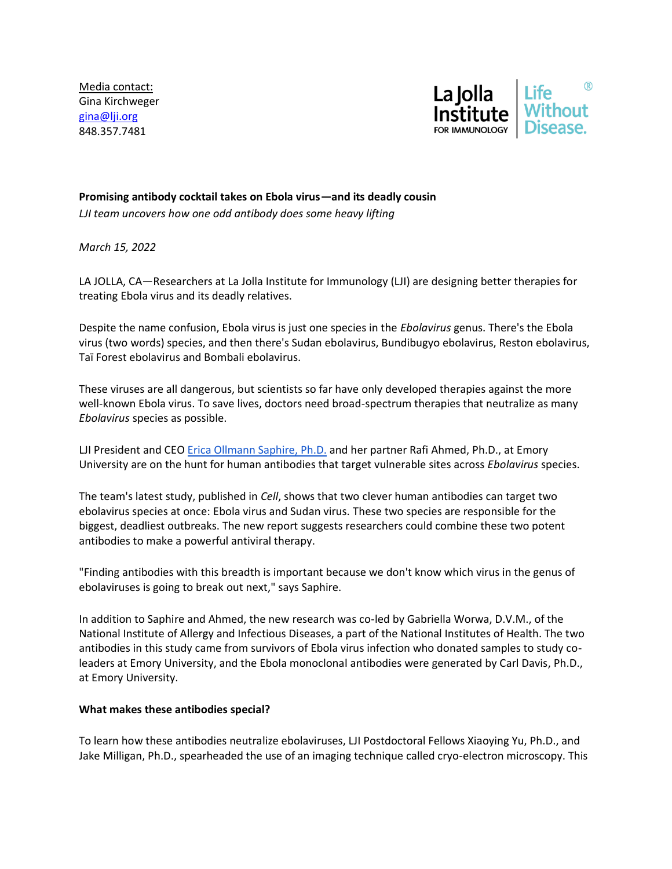Media contact: Gina Kirchweger [gina@lji.org](mailto:gina@lji.org) 848.357.7481



## **Promising antibody cocktail takes on Ebola virus—and its deadly cousin**

*LJI team uncovers how one odd antibody does some heavy lifting*

*March 15, 2022*

LA JOLLA, CA—Researchers at La Jolla Institute for Immunology (LJI) are designing better therapies for treating Ebola virus and its deadly relatives.

Despite the name confusion, Ebola virus is just one species in the *Ebolavirus* genus. There's the Ebola virus (two words) species, and then there's Sudan ebolavirus, Bundibugyo ebolavirus, Reston ebolavirus, Taï Forest ebolavirus and Bombali ebolavirus.

These viruses are all dangerous, but scientists so far have only developed therapies against the more well-known Ebola virus. To save lives, doctors need broad-spectrum therapies that neutralize as many *Ebolavirus* species as possible.

LJI President and CE[O Erica Ollmann Saphire, Ph.D.](https://www.lji.org/labs/saphire/) and her partner Rafi Ahmed, Ph.D., at Emory University are on the hunt for human antibodies that target vulnerable sites across *Ebolavirus* species.

The team's latest study, published in *Cell*, shows that two clever human antibodies can target two ebolavirus species at once: Ebola virus and Sudan virus. These two species are responsible for the biggest, deadliest outbreaks. The new report suggests researchers could combine these two potent antibodies to make a powerful antiviral therapy.

"Finding antibodies with this breadth is important because we don't know which virus in the genus of ebolaviruses is going to break out next," says Saphire.

In addition to Saphire and Ahmed, the new research was co-led by Gabriella Worwa, D.V.M., of the National Institute of Allergy and Infectious Diseases, a part of the National Institutes of Health. The two antibodies in this study came from survivors of Ebola virus infection who donated samples to study coleaders at Emory University, and the Ebola monoclonal antibodies were generated by Carl Davis, Ph.D., at Emory University.

## **What makes these antibodies special?**

To learn how these antibodies neutralize ebolaviruses, LJI Postdoctoral Fellows Xiaoying Yu, Ph.D., and Jake Milligan, Ph.D., spearheaded the use of an imaging technique called cryo-electron microscopy. This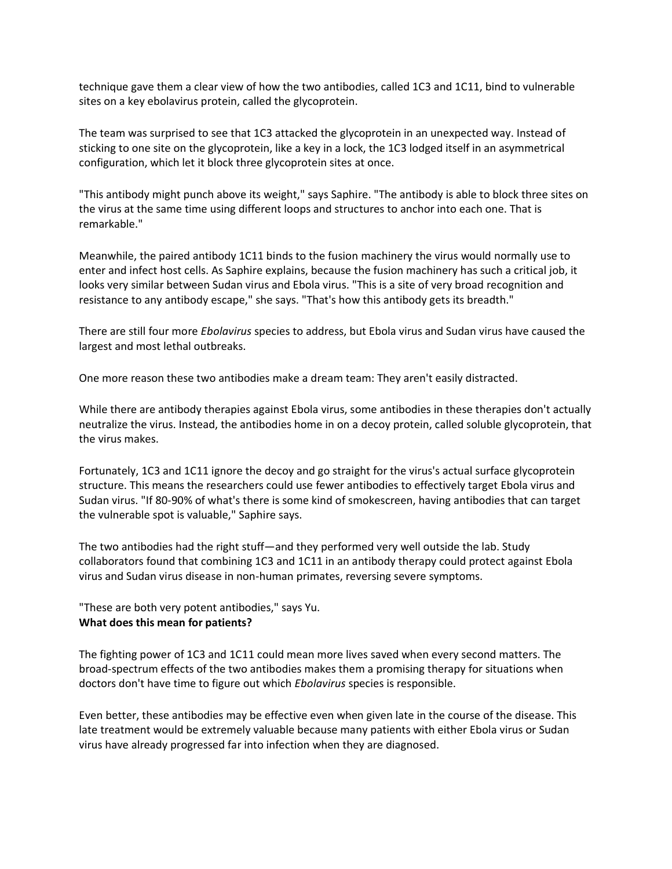technique gave them a clear view of how the two antibodies, called 1C3 and 1C11, bind to vulnerable sites on a key ebolavirus protein, called the glycoprotein.

The team was surprised to see that 1C3 attacked the glycoprotein in an unexpected way. Instead of sticking to one site on the glycoprotein, like a key in a lock, the 1C3 lodged itself in an asymmetrical configuration, which let it block three glycoprotein sites at once.

"This antibody might punch above its weight," says Saphire. "The antibody is able to block three sites on the virus at the same time using different loops and structures to anchor into each one. That is remarkable."

Meanwhile, the paired antibody 1C11 binds to the fusion machinery the virus would normally use to enter and infect host cells. As Saphire explains, because the fusion machinery has such a critical job, it looks very similar between Sudan virus and Ebola virus. "This is a site of very broad recognition and resistance to any antibody escape," she says. "That's how this antibody gets its breadth."

There are still four more *Ebolavirus* species to address, but Ebola virus and Sudan virus have caused the largest and most lethal outbreaks.

One more reason these two antibodies make a dream team: They aren't easily distracted.

While there are antibody therapies against Ebola virus, some antibodies in these therapies don't actually neutralize the virus. Instead, the antibodies home in on a decoy protein, called soluble glycoprotein, that the virus makes.

Fortunately, 1C3 and 1C11 ignore the decoy and go straight for the virus's actual surface glycoprotein structure. This means the researchers could use fewer antibodies to effectively target Ebola virus and Sudan virus. "If 80-90% of what's there is some kind of smokescreen, having antibodies that can target the vulnerable spot is valuable," Saphire says.

The two antibodies had the right stuff—and they performed very well outside the lab. Study collaborators found that combining 1C3 and 1C11 in an antibody therapy could protect against Ebola virus and Sudan virus disease in non-human primates, reversing severe symptoms.

"These are both very potent antibodies," says Yu. **What does this mean for patients?**

The fighting power of 1C3 and 1C11 could mean more lives saved when every second matters. The broad-spectrum effects of the two antibodies makes them a promising therapy for situations when doctors don't have time to figure out which *Ebolavirus* species is responsible.

Even better, these antibodies may be effective even when given late in the course of the disease. This late treatment would be extremely valuable because many patients with either Ebola virus or Sudan virus have already progressed far into infection when they are diagnosed.